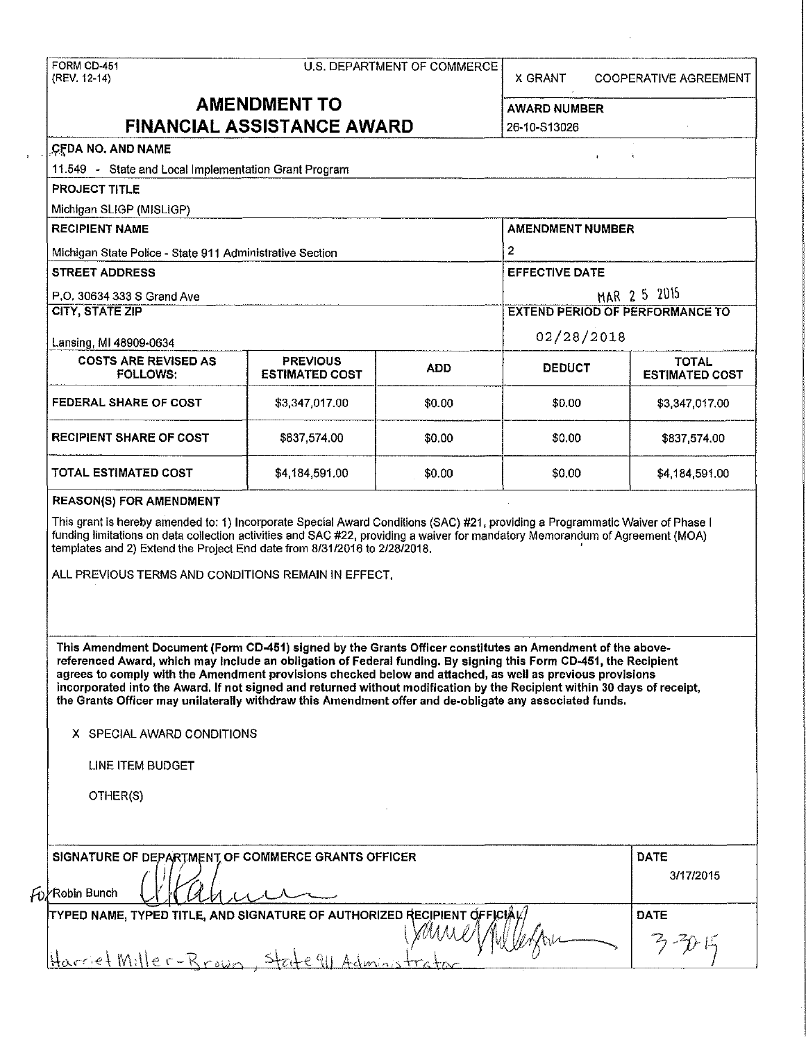|              | FORM CD-451 |
|--------------|-------------|
| (REV. 12-14) |             |

| www.communication.com/communication.com/<br>------------- |                             |   | The mass of the contract of the contract of the contract of the contract of the contract of the contract of the contract of the contract of the contract of the contract of the contract of the contract of the contract of th |
|-----------------------------------------------------------|-----------------------------|---|--------------------------------------------------------------------------------------------------------------------------------------------------------------------------------------------------------------------------------|
| FORM CD-451                                               | U.S. DEPARTMENT OF COMMERCE | . | ______                                                                                                                                                                                                                         |

X GRANT COOPERATIVE AGREEMENT

# **AMENDMENT TO AWARD NUMBER**

|                                                                                                                                                                                                                                                                                                                                                                                                                                                                                                                                                                                                                                                 | <b>FINANCIAL ASSISTANCE AWARD</b>        |            | 26-10-S13026          |                                        |  |
|-------------------------------------------------------------------------------------------------------------------------------------------------------------------------------------------------------------------------------------------------------------------------------------------------------------------------------------------------------------------------------------------------------------------------------------------------------------------------------------------------------------------------------------------------------------------------------------------------------------------------------------------------|------------------------------------------|------------|-----------------------|----------------------------------------|--|
| CFDA NO. AND NAME                                                                                                                                                                                                                                                                                                                                                                                                                                                                                                                                                                                                                               |                                          |            | $\ddot{\phantom{a}}$  | Ŷ.                                     |  |
| 11.549 - State and Local Implementation Grant Program                                                                                                                                                                                                                                                                                                                                                                                                                                                                                                                                                                                           |                                          |            |                       |                                        |  |
| <b>PROJECT TITLE</b>                                                                                                                                                                                                                                                                                                                                                                                                                                                                                                                                                                                                                            |                                          |            |                       |                                        |  |
| Michigan SLIGP (MISLIGP)                                                                                                                                                                                                                                                                                                                                                                                                                                                                                                                                                                                                                        |                                          |            |                       |                                        |  |
| <b>RECIPIENT NAME</b>                                                                                                                                                                                                                                                                                                                                                                                                                                                                                                                                                                                                                           |                                          |            |                       | <b>AMENDMENT NUMBER</b>                |  |
| Michigan State Police - State 911 Administrative Section                                                                                                                                                                                                                                                                                                                                                                                                                                                                                                                                                                                        |                                          |            | $\mathbf{2}$          |                                        |  |
| <b>STREET ADDRESS</b>                                                                                                                                                                                                                                                                                                                                                                                                                                                                                                                                                                                                                           |                                          |            | <b>EFFECTIVE DATE</b> |                                        |  |
| P.O. 30634 333 S Grand Ave                                                                                                                                                                                                                                                                                                                                                                                                                                                                                                                                                                                                                      |                                          |            | MAR 2 5 2015          |                                        |  |
| <b>CITY, STATE ZIP</b>                                                                                                                                                                                                                                                                                                                                                                                                                                                                                                                                                                                                                          |                                          |            |                       | <b>EXTEND PERIOD OF PERFORMANCE TO</b> |  |
| Lansing, MI 48909-0634                                                                                                                                                                                                                                                                                                                                                                                                                                                                                                                                                                                                                          |                                          |            | 02/28/2018            |                                        |  |
| <b>COSTS ARE REVISED AS</b><br><b>FOLLOWS:</b>                                                                                                                                                                                                                                                                                                                                                                                                                                                                                                                                                                                                  | <b>PREVIOUS</b><br><b>ESTIMATED COST</b> | <b>ADD</b> | <b>DEDUCT</b>         | <b>TOTAL</b><br><b>ESTIMATED COST</b>  |  |
| <b>FEDERAL SHARE OF COST</b>                                                                                                                                                                                                                                                                                                                                                                                                                                                                                                                                                                                                                    | \$3,347,017.00                           | \$0.00     | \$0.00                | \$3,347,017.00                         |  |
| <b>RECIPIENT SHARE OF COST</b>                                                                                                                                                                                                                                                                                                                                                                                                                                                                                                                                                                                                                  | \$837,574.00                             | \$0.00     | \$0.00                | \$837,574.00                           |  |
| TOTAL ESTIMATED COST                                                                                                                                                                                                                                                                                                                                                                                                                                                                                                                                                                                                                            | \$4,184,591.00                           | \$0.00     | \$0.00                | \$4,184,591.00                         |  |
| <b>REASON(S) FOR AMENDMENT</b>                                                                                                                                                                                                                                                                                                                                                                                                                                                                                                                                                                                                                  |                                          |            |                       |                                        |  |
|                                                                                                                                                                                                                                                                                                                                                                                                                                                                                                                                                                                                                                                 |                                          |            |                       |                                        |  |
| This Amendment Document (Form CD-451) signed by the Grants Officer constitutes an Amendment of the above-<br>referenced Award, which may include an obligation of Federal funding. By signing this Form CD-451, the Recipient<br>agrees to comply with the Amendment provisions checked below and attached, as well as previous provisions<br>incorporated into the Award. If not signed and returned without modification by the Recipient within 30 days of receipt,<br>the Grants Officer may unilaterally withdraw this Amendment offer and de-obligate any associated funds.<br>X SPECIAL AWARD CONDITIONS<br>LINE ITEM BUDGET<br>OTHER(S) |                                          |            |                       |                                        |  |
| SIGNATURE OF DEPARTMENT OF COMMERCE GRANTS OFFICER<br>$f_0$ /Robin Bunch                                                                                                                                                                                                                                                                                                                                                                                                                                                                                                                                                                        |                                          |            |                       | <b>DATE</b><br>3/17/2015               |  |
| TYPED NAME, TYPED TITLE, AND SIGNATURE OF AUTHORIZED RECIPIENT OFFICIAL<br>Harriet Miller-Rrown                                                                                                                                                                                                                                                                                                                                                                                                                                                                                                                                                 |                                          |            |                       | DATE                                   |  |